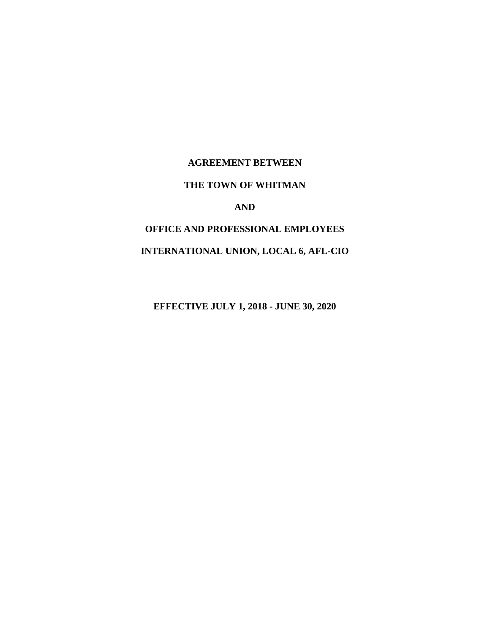# **AGREEMENT BETWEEN THE TOWN OF WHITMAN AND OFFICE AND PROFESSIONAL EMPLOYEES INTERNATIONAL UNION, LOCAL 6, AFL-CIO**

**EFFECTIVE JULY 1, 2018 - JUNE 30, 2020**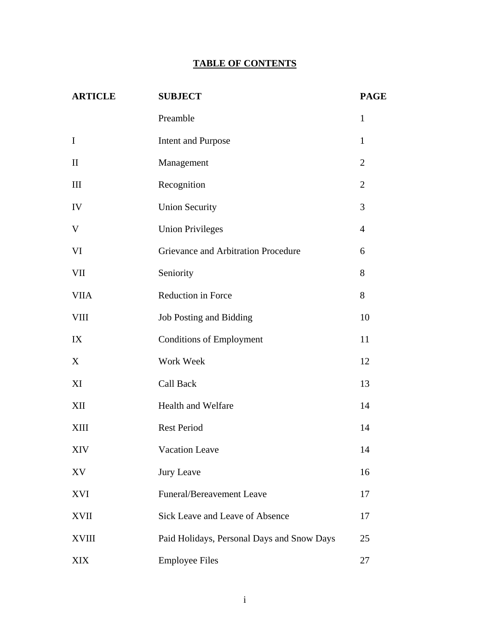# **TABLE OF CONTENTS**

| <b>ARTICLE</b> | <b>SUBJECT</b>                             |                |  |  |
|----------------|--------------------------------------------|----------------|--|--|
|                | Preamble                                   | $\mathbf{1}$   |  |  |
| $\mathbf I$    | <b>Intent and Purpose</b>                  | $\mathbf{1}$   |  |  |
| $\mathbf{I}$   | Management                                 | $\overline{2}$ |  |  |
| III            | Recognition                                | $\overline{2}$ |  |  |
| ${\rm IV}$     | <b>Union Security</b>                      | 3              |  |  |
| $\mathbf V$    | <b>Union Privileges</b>                    | $\overline{4}$ |  |  |
| VI             | Grievance and Arbitration Procedure        | 6              |  |  |
| <b>VII</b>     | Seniority                                  | 8              |  |  |
| <b>VIIA</b>    | Reduction in Force                         | 8              |  |  |
| <b>VIII</b>    | Job Posting and Bidding                    | 10             |  |  |
| IX             | <b>Conditions of Employment</b>            | 11             |  |  |
| X              | Work Week                                  | 12             |  |  |
| XI             | Call Back                                  | 13             |  |  |
| XII            | Health and Welfare                         | 14             |  |  |
| XIII           | <b>Rest Period</b>                         | 14             |  |  |
| XIV            | Vacation Leave                             | 14             |  |  |
| XV             | Jury Leave                                 | 16             |  |  |
| XVI            | <b>Funeral/Bereavement Leave</b>           | 17             |  |  |
| <b>XVII</b>    | Sick Leave and Leave of Absence            | 17             |  |  |
| <b>XVIII</b>   | Paid Holidays, Personal Days and Snow Days | 25             |  |  |
| <b>XIX</b>     | <b>Employee Files</b>                      | 27             |  |  |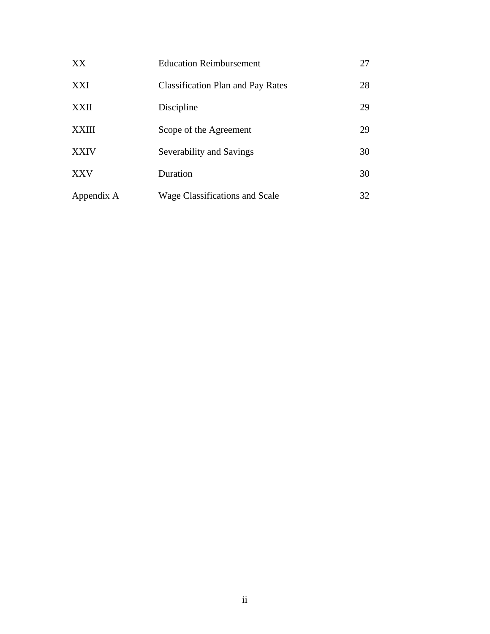| XX         | <b>Education Reimbursement</b>           | 27 |
|------------|------------------------------------------|----|
| XXI        | <b>Classification Plan and Pay Rates</b> | 28 |
| XXII       | Discipline                               | 29 |
| XXIII      | Scope of the Agreement                   | 29 |
| XXIV       | Severability and Savings                 | 30 |
| XXV        | Duration                                 | 30 |
| Appendix A | <b>Wage Classifications and Scale</b>    | 32 |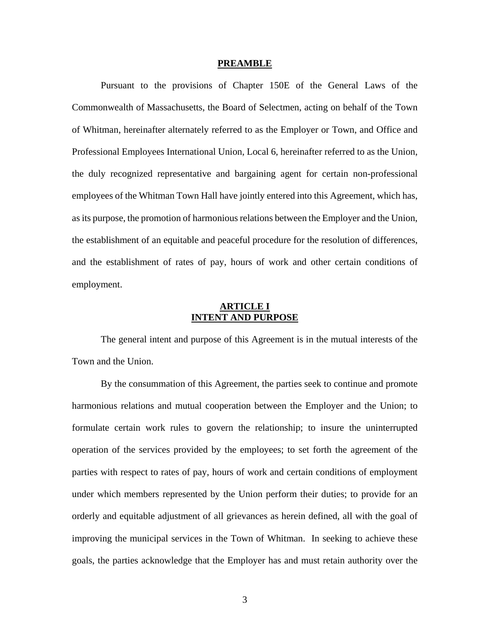#### **PREAMBLE**

 Pursuant to the provisions of Chapter 150E of the General Laws of the Commonwealth of Massachusetts, the Board of Selectmen, acting on behalf of the Town of Whitman, hereinafter alternately referred to as the Employer or Town, and Office and Professional Employees International Union, Local 6, hereinafter referred to as the Union, the duly recognized representative and bargaining agent for certain non-professional employees of the Whitman Town Hall have jointly entered into this Agreement, which has, as its purpose, the promotion of harmonious relations between the Employer and the Union, the establishment of an equitable and peaceful procedure for the resolution of differences, and the establishment of rates of pay, hours of work and other certain conditions of employment.

# **ARTICLE I INTENT AND PURPOSE**

 The general intent and purpose of this Agreement is in the mutual interests of the Town and the Union.

 By the consummation of this Agreement, the parties seek to continue and promote harmonious relations and mutual cooperation between the Employer and the Union; to formulate certain work rules to govern the relationship; to insure the uninterrupted operation of the services provided by the employees; to set forth the agreement of the parties with respect to rates of pay, hours of work and certain conditions of employment under which members represented by the Union perform their duties; to provide for an orderly and equitable adjustment of all grievances as herein defined, all with the goal of improving the municipal services in the Town of Whitman. In seeking to achieve these goals, the parties acknowledge that the Employer has and must retain authority over the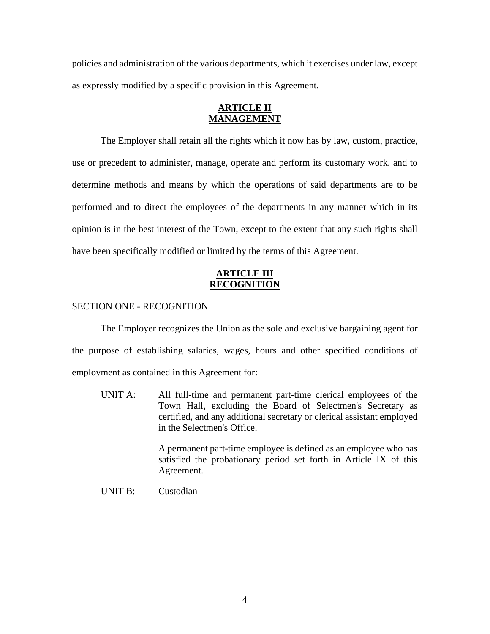policies and administration of the various departments, which it exercises under law, except as expressly modified by a specific provision in this Agreement.

# **ARTICLE II MANAGEMENT**

 The Employer shall retain all the rights which it now has by law, custom, practice, use or precedent to administer, manage, operate and perform its customary work, and to determine methods and means by which the operations of said departments are to be performed and to direct the employees of the departments in any manner which in its opinion is in the best interest of the Town, except to the extent that any such rights shall have been specifically modified or limited by the terms of this Agreement.

# **ARTICLE III RECOGNITION**

# SECTION ONE - RECOGNITION

 The Employer recognizes the Union as the sole and exclusive bargaining agent for the purpose of establishing salaries, wages, hours and other specified conditions of employment as contained in this Agreement for:

UNIT A: All full-time and permanent part-time clerical employees of the Town Hall, excluding the Board of Selectmen's Secretary as certified, and any additional secretary or clerical assistant employed in the Selectmen's Office.

> A permanent part-time employee is defined as an employee who has satisfied the probationary period set forth in Article IX of this Agreement.

UNIT B: Custodian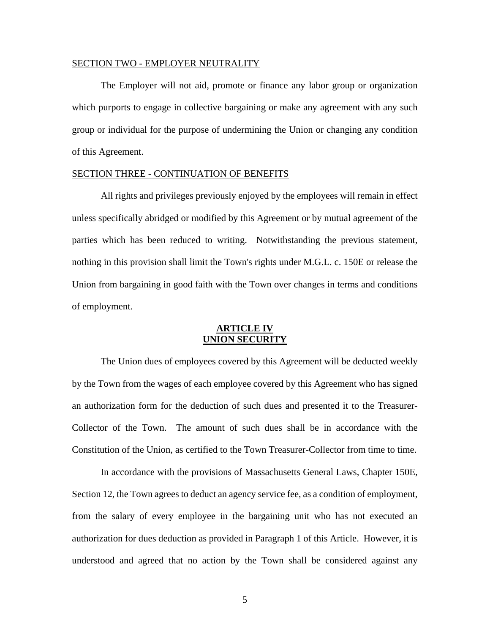#### SECTION TWO - EMPLOYER NEUTRALITY

 The Employer will not aid, promote or finance any labor group or organization which purports to engage in collective bargaining or make any agreement with any such group or individual for the purpose of undermining the Union or changing any condition of this Agreement.

#### SECTION THREE - CONTINUATION OF BENEFITS

 All rights and privileges previously enjoyed by the employees will remain in effect unless specifically abridged or modified by this Agreement or by mutual agreement of the parties which has been reduced to writing. Notwithstanding the previous statement, nothing in this provision shall limit the Town's rights under M.G.L. c. 150E or release the Union from bargaining in good faith with the Town over changes in terms and conditions of employment.

## **ARTICLE IV UNION SECURITY**

 The Union dues of employees covered by this Agreement will be deducted weekly by the Town from the wages of each employee covered by this Agreement who has signed an authorization form for the deduction of such dues and presented it to the Treasurer-Collector of the Town. The amount of such dues shall be in accordance with the Constitution of the Union, as certified to the Town Treasurer-Collector from time to time.

 In accordance with the provisions of Massachusetts General Laws, Chapter 150E, Section 12, the Town agrees to deduct an agency service fee, as a condition of employment, from the salary of every employee in the bargaining unit who has not executed an authorization for dues deduction as provided in Paragraph 1 of this Article. However, it is understood and agreed that no action by the Town shall be considered against any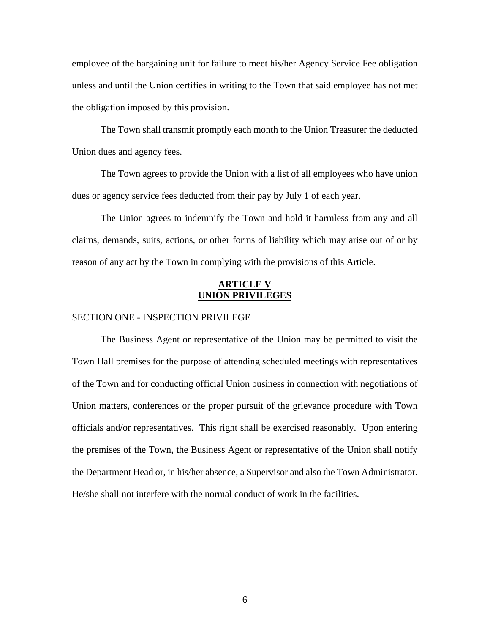employee of the bargaining unit for failure to meet his/her Agency Service Fee obligation unless and until the Union certifies in writing to the Town that said employee has not met the obligation imposed by this provision.

 The Town shall transmit promptly each month to the Union Treasurer the deducted Union dues and agency fees.

 The Town agrees to provide the Union with a list of all employees who have union dues or agency service fees deducted from their pay by July 1 of each year.

 The Union agrees to indemnify the Town and hold it harmless from any and all claims, demands, suits, actions, or other forms of liability which may arise out of or by reason of any act by the Town in complying with the provisions of this Article.

# **ARTICLE V UNION PRIVILEGES**

### SECTION ONE - INSPECTION PRIVILEGE

 The Business Agent or representative of the Union may be permitted to visit the Town Hall premises for the purpose of attending scheduled meetings with representatives of the Town and for conducting official Union business in connection with negotiations of Union matters, conferences or the proper pursuit of the grievance procedure with Town officials and/or representatives. This right shall be exercised reasonably. Upon entering the premises of the Town, the Business Agent or representative of the Union shall notify the Department Head or, in his/her absence, a Supervisor and also the Town Administrator. He/she shall not interfere with the normal conduct of work in the facilities.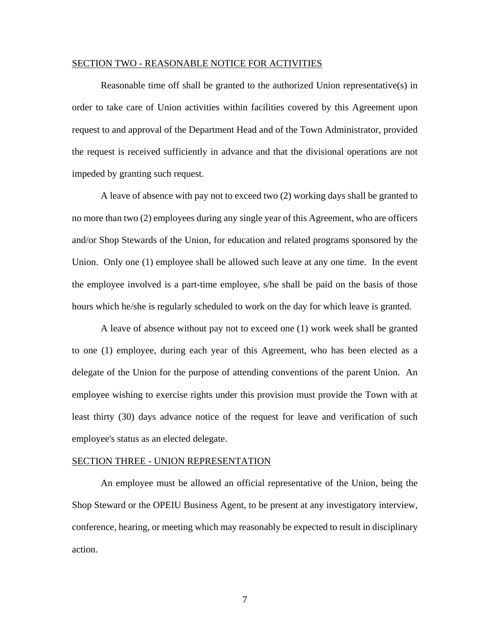#### SECTION TWO - REASONABLE NOTICE FOR ACTIVITIES

Reasonable time off shall be granted to the authorized Union representative(s) in order to take care of Union activities within facilities covered by this Agreement upon request to and approval of the Department Head and of the Town Administrator, provided the request is received sufficiently in advance and that the divisional operations are not impeded by granting such request.

 A leave of absence with pay not to exceed two (2) working days shall be granted to no more than two (2) employees during any single year of this Agreement, who are officers and/or Shop Stewards of the Union, for education and related programs sponsored by the Union. Only one (1) employee shall be allowed such leave at any one time. In the event the employee involved is a part-time employee, s/he shall be paid on the basis of those hours which he/she is regularly scheduled to work on the day for which leave is granted.

 A leave of absence without pay not to exceed one (1) work week shall be granted to one (1) employee, during each year of this Agreement, who has been elected as a delegate of the Union for the purpose of attending conventions of the parent Union. An employee wishing to exercise rights under this provision must provide the Town with at least thirty (30) days advance notice of the request for leave and verification of such employee's status as an elected delegate.

#### SECTION THREE - UNION REPRESENTATION

 An employee must be allowed an official representative of the Union, being the Shop Steward or the OPEIU Business Agent, to be present at any investigatory interview, conference, hearing, or meeting which may reasonably be expected to result in disciplinary action.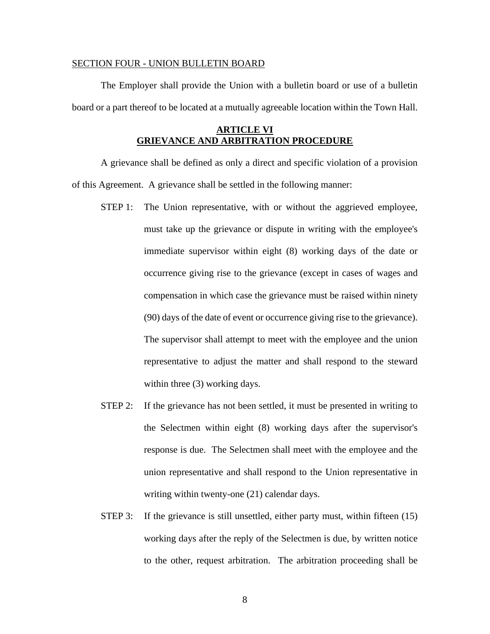#### SECTION FOUR - UNION BULLETIN BOARD

 The Employer shall provide the Union with a bulletin board or use of a bulletin board or a part thereof to be located at a mutually agreeable location within the Town Hall.

# **ARTICLE VI GRIEVANCE AND ARBITRATION PROCEDURE**

 A grievance shall be defined as only a direct and specific violation of a provision of this Agreement. A grievance shall be settled in the following manner:

- STEP 1: The Union representative, with or without the aggrieved employee, must take up the grievance or dispute in writing with the employee's immediate supervisor within eight (8) working days of the date or occurrence giving rise to the grievance (except in cases of wages and compensation in which case the grievance must be raised within ninety (90) days of the date of event or occurrence giving rise to the grievance). The supervisor shall attempt to meet with the employee and the union representative to adjust the matter and shall respond to the steward within three (3) working days.
- STEP 2: If the grievance has not been settled, it must be presented in writing to the Selectmen within eight (8) working days after the supervisor's response is due. The Selectmen shall meet with the employee and the union representative and shall respond to the Union representative in writing within twenty-one  $(21)$  calendar days.
- STEP 3: If the grievance is still unsettled, either party must, within fifteen (15) working days after the reply of the Selectmen is due, by written notice to the other, request arbitration. The arbitration proceeding shall be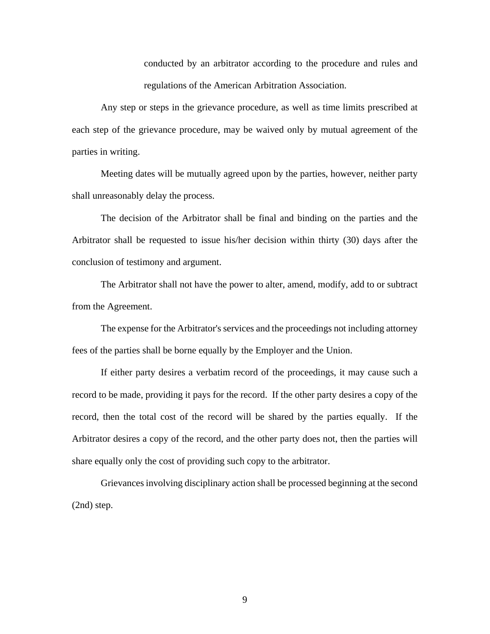conducted by an arbitrator according to the procedure and rules and regulations of the American Arbitration Association.

 Any step or steps in the grievance procedure, as well as time limits prescribed at each step of the grievance procedure, may be waived only by mutual agreement of the parties in writing.

 Meeting dates will be mutually agreed upon by the parties, however, neither party shall unreasonably delay the process.

 The decision of the Arbitrator shall be final and binding on the parties and the Arbitrator shall be requested to issue his/her decision within thirty (30) days after the conclusion of testimony and argument.

 The Arbitrator shall not have the power to alter, amend, modify, add to or subtract from the Agreement.

 The expense for the Arbitrator's services and the proceedings not including attorney fees of the parties shall be borne equally by the Employer and the Union.

 If either party desires a verbatim record of the proceedings, it may cause such a record to be made, providing it pays for the record. If the other party desires a copy of the record, then the total cost of the record will be shared by the parties equally. If the Arbitrator desires a copy of the record, and the other party does not, then the parties will share equally only the cost of providing such copy to the arbitrator.

 Grievances involving disciplinary action shall be processed beginning at the second (2nd) step.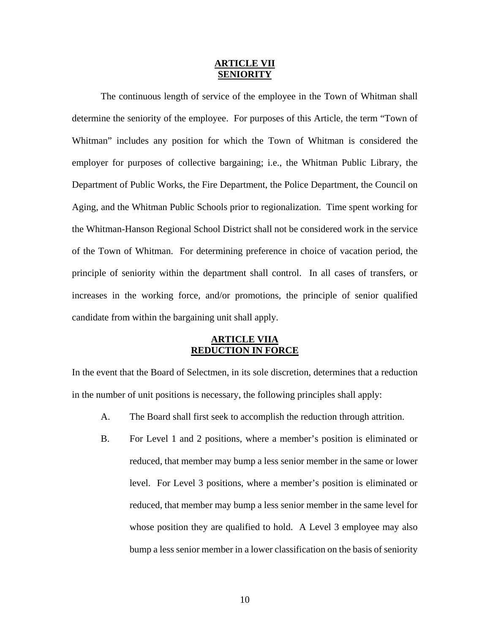## **ARTICLE VII SENIORITY**

 The continuous length of service of the employee in the Town of Whitman shall determine the seniority of the employee. For purposes of this Article, the term "Town of Whitman" includes any position for which the Town of Whitman is considered the employer for purposes of collective bargaining; i.e., the Whitman Public Library, the Department of Public Works, the Fire Department, the Police Department, the Council on Aging, and the Whitman Public Schools prior to regionalization. Time spent working for the Whitman-Hanson Regional School District shall not be considered work in the service of the Town of Whitman.For determining preference in choice of vacation period, the principle of seniority within the department shall control. In all cases of transfers, or increases in the working force, and/or promotions, the principle of senior qualified candidate from within the bargaining unit shall apply.

## **ARTICLE VIIA REDUCTION IN FORCE**

In the event that the Board of Selectmen, in its sole discretion, determines that a reduction in the number of unit positions is necessary, the following principles shall apply:

- A. The Board shall first seek to accomplish the reduction through attrition.
- B. For Level 1 and 2 positions, where a member's position is eliminated or reduced, that member may bump a less senior member in the same or lower level. For Level 3 positions, where a member's position is eliminated or reduced, that member may bump a less senior member in the same level for whose position they are qualified to hold. A Level 3 employee may also bump a less senior member in a lower classification on the basis of seniority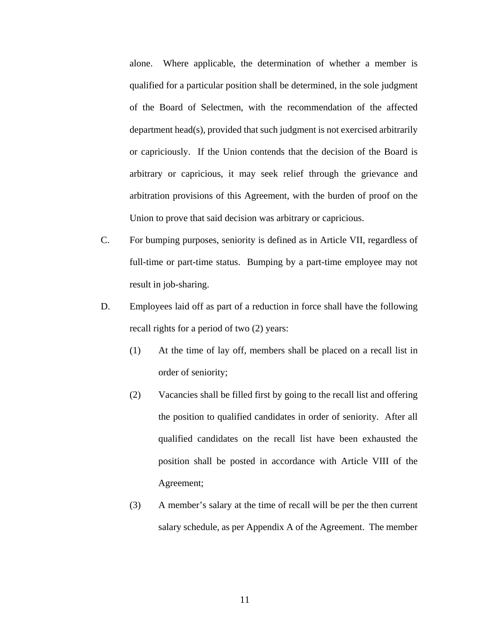alone. Where applicable, the determination of whether a member is qualified for a particular position shall be determined, in the sole judgment of the Board of Selectmen, with the recommendation of the affected department head(s), provided that such judgment is not exercised arbitrarily or capriciously. If the Union contends that the decision of the Board is arbitrary or capricious, it may seek relief through the grievance and arbitration provisions of this Agreement, with the burden of proof on the Union to prove that said decision was arbitrary or capricious.

- C. For bumping purposes, seniority is defined as in Article VII, regardless of full-time or part-time status. Bumping by a part-time employee may not result in job-sharing.
- D. Employees laid off as part of a reduction in force shall have the following recall rights for a period of two (2) years:
	- (1) At the time of lay off, members shall be placed on a recall list in order of seniority;
	- (2) Vacancies shall be filled first by going to the recall list and offering the position to qualified candidates in order of seniority. After all qualified candidates on the recall list have been exhausted the position shall be posted in accordance with Article VIII of the Agreement;
	- (3) A member's salary at the time of recall will be per the then current salary schedule, as per Appendix A of the Agreement. The member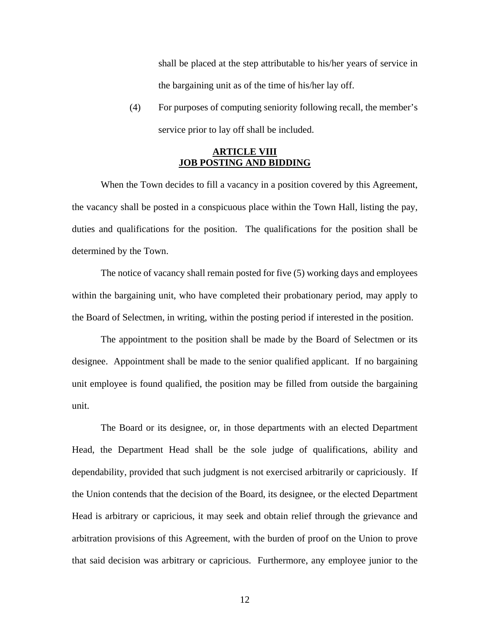shall be placed at the step attributable to his/her years of service in the bargaining unit as of the time of his/her lay off.

(4) For purposes of computing seniority following recall, the member's service prior to lay off shall be included.

# **ARTICLE VIII JOB POSTING AND BIDDING**

When the Town decides to fill a vacancy in a position covered by this Agreement, the vacancy shall be posted in a conspicuous place within the Town Hall, listing the pay, duties and qualifications for the position. The qualifications for the position shall be determined by the Town.

 The notice of vacancy shall remain posted for five (5) working days and employees within the bargaining unit, who have completed their probationary period, may apply to the Board of Selectmen, in writing, within the posting period if interested in the position.

 The appointment to the position shall be made by the Board of Selectmen or its designee. Appointment shall be made to the senior qualified applicant. If no bargaining unit employee is found qualified, the position may be filled from outside the bargaining unit.

 The Board or its designee, or, in those departments with an elected Department Head, the Department Head shall be the sole judge of qualifications, ability and dependability, provided that such judgment is not exercised arbitrarily or capriciously. If the Union contends that the decision of the Board, its designee, or the elected Department Head is arbitrary or capricious, it may seek and obtain relief through the grievance and arbitration provisions of this Agreement, with the burden of proof on the Union to prove that said decision was arbitrary or capricious. Furthermore, any employee junior to the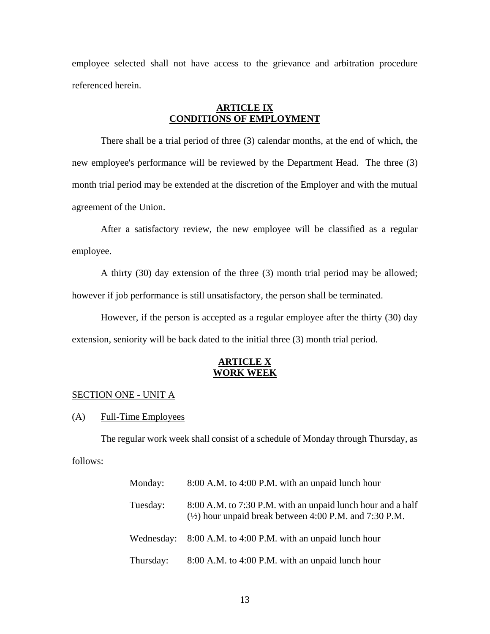employee selected shall not have access to the grievance and arbitration procedure referenced herein.

# **ARTICLE IX CONDITIONS OF EMPLOYMENT**

 There shall be a trial period of three (3) calendar months, at the end of which, the new employee's performance will be reviewed by the Department Head. The three (3) month trial period may be extended at the discretion of the Employer and with the mutual agreement of the Union.

 After a satisfactory review, the new employee will be classified as a regular employee.

 A thirty (30) day extension of the three (3) month trial period may be allowed; however if job performance is still unsatisfactory, the person shall be terminated.

 However, if the person is accepted as a regular employee after the thirty (30) day extension, seniority will be back dated to the initial three (3) month trial period.

# **ARTICLE X WORK WEEK**

#### SECTION ONE - UNIT A

(A) Full-Time Employees

 The regular work week shall consist of a schedule of Monday through Thursday, as follows:

| Monday:    | 8:00 A.M. to 4:00 P.M. with an unpaid lunch hour                                                                                 |
|------------|----------------------------------------------------------------------------------------------------------------------------------|
| Tuesday:   | 8:00 A.M. to 7:30 P.M. with an unpaid lunch hour and a half<br>$(\frac{1}{2})$ hour unpaid break between 4:00 P.M. and 7:30 P.M. |
| Wednesday: | 8:00 A.M. to 4:00 P.M. with an unpaid lunch hour                                                                                 |
| Thursday:  | 8:00 A.M. to 4:00 P.M. with an unpaid lunch hour                                                                                 |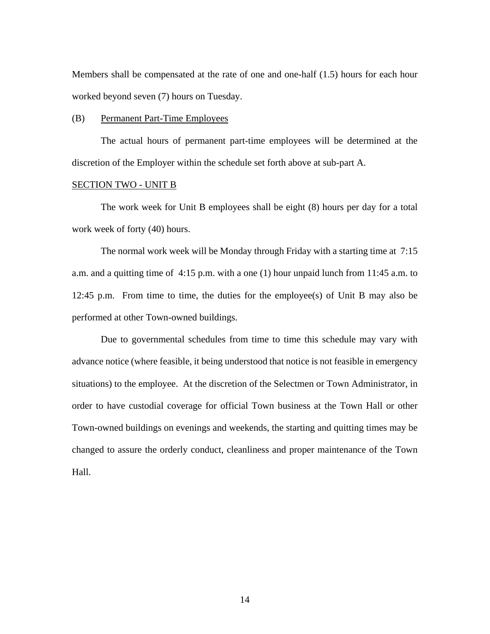Members shall be compensated at the rate of one and one-half (1.5) hours for each hour worked beyond seven (7) hours on Tuesday.

#### (B) Permanent Part-Time Employees

 The actual hours of permanent part-time employees will be determined at the discretion of the Employer within the schedule set forth above at sub-part A.

# SECTION TWO - UNIT B

 The work week for Unit B employees shall be eight (8) hours per day for a total work week of forty (40) hours.

 The normal work week will be Monday through Friday with a starting time at 7:15 a.m. and a quitting time of 4:15 p.m. with a one (1) hour unpaid lunch from 11:45 a.m. to 12:45 p.m. From time to time, the duties for the employee(s) of Unit B may also be performed at other Town-owned buildings.

 Due to governmental schedules from time to time this schedule may vary with advance notice (where feasible, it being understood that notice is not feasible in emergency situations) to the employee. At the discretion of the Selectmen or Town Administrator, in order to have custodial coverage for official Town business at the Town Hall or other Town-owned buildings on evenings and weekends, the starting and quitting times may be changed to assure the orderly conduct, cleanliness and proper maintenance of the Town Hall.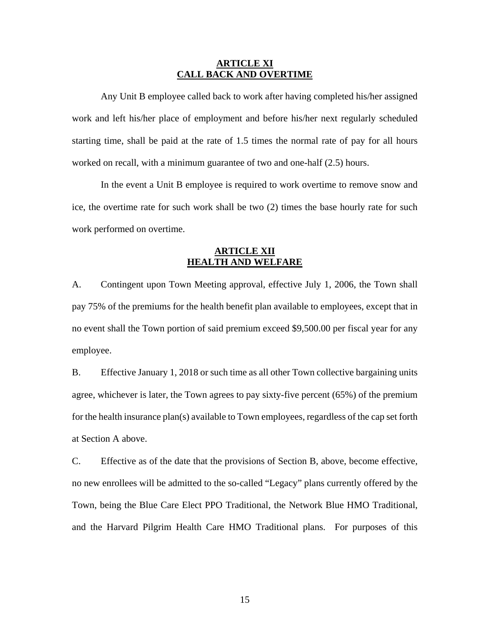## **ARTICLE XI CALL BACK AND OVERTIME**

 Any Unit B employee called back to work after having completed his/her assigned work and left his/her place of employment and before his/her next regularly scheduled starting time, shall be paid at the rate of 1.5 times the normal rate of pay for all hours worked on recall, with a minimum guarantee of two and one-half (2.5) hours.

 In the event a Unit B employee is required to work overtime to remove snow and ice, the overtime rate for such work shall be two (2) times the base hourly rate for such work performed on overtime.

# **ARTICLE XII HEALTH AND WELFARE**

A. Contingent upon Town Meeting approval, effective July 1, 2006, the Town shall pay 75% of the premiums for the health benefit plan available to employees, except that in no event shall the Town portion of said premium exceed \$9,500.00 per fiscal year for any employee.

B. Effective January 1, 2018 or such time as all other Town collective bargaining units agree, whichever is later, the Town agrees to pay sixty-five percent (65%) of the premium for the health insurance plan(s) available to Town employees, regardless of the cap set forth at Section A above.

C. Effective as of the date that the provisions of Section B, above, become effective, no new enrollees will be admitted to the so-called "Legacy" plans currently offered by the Town, being the Blue Care Elect PPO Traditional, the Network Blue HMO Traditional, and the Harvard Pilgrim Health Care HMO Traditional plans. For purposes of this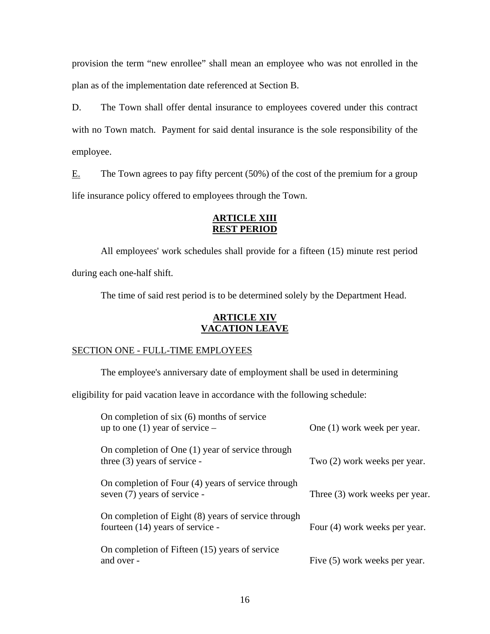provision the term "new enrollee" shall mean an employee who was not enrolled in the plan as of the implementation date referenced at Section B.

D. The Town shall offer dental insurance to employees covered under this contract with no Town match. Payment for said dental insurance is the sole responsibility of the employee.

 $E.$  The Town agrees to pay fifty percent (50%) of the cost of the premium for a group life insurance policy offered to employees through the Town.

# **ARTICLE XIII REST PERIOD**

 All employees' work schedules shall provide for a fifteen (15) minute rest period during each one-half shift.

The time of said rest period is to be determined solely by the Department Head.

# **ARTICLE XIV VACATION LEAVE**

# SECTION ONE - FULL-TIME EMPLOYEES

The employee's anniversary date of employment shall be used in determining

eligibility for paid vacation leave in accordance with the following schedule:

| On completion of $six(6)$ months of service<br>up to one (1) year of service $-$        | One (1) work week per year.    |
|-----------------------------------------------------------------------------------------|--------------------------------|
| On completion of One (1) year of service through<br>three $(3)$ years of service -      | Two (2) work weeks per year.   |
| On completion of Four (4) years of service through<br>seven (7) years of service -      | Three (3) work weeks per year. |
| On completion of Eight (8) years of service through<br>fourteen (14) years of service - | Four (4) work weeks per year.  |
| On completion of Fifteen (15) years of service<br>and over -                            | Five (5) work weeks per year.  |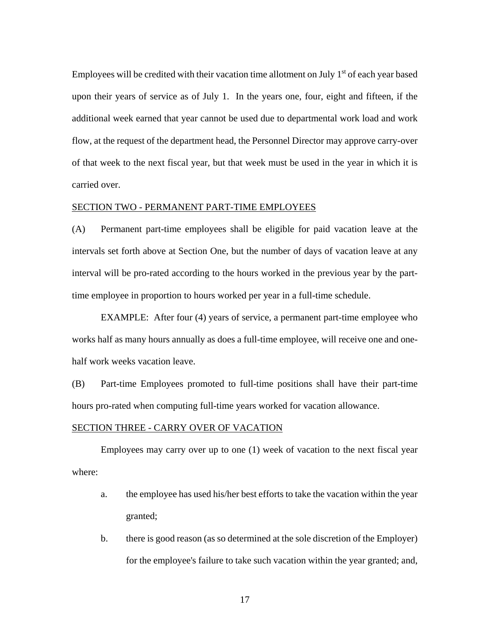Employees will be credited with their vacation time allotment on July  $1<sup>st</sup>$  of each year based upon their years of service as of July 1. In the years one, four, eight and fifteen, if the additional week earned that year cannot be used due to departmental work load and work flow, at the request of the department head, the Personnel Director may approve carry-over of that week to the next fiscal year, but that week must be used in the year in which it is carried over.

#### SECTION TWO - PERMANENT PART-TIME EMPLOYEES

(A) Permanent part-time employees shall be eligible for paid vacation leave at the intervals set forth above at Section One, but the number of days of vacation leave at any interval will be pro-rated according to the hours worked in the previous year by the parttime employee in proportion to hours worked per year in a full-time schedule.

 EXAMPLE: After four (4) years of service, a permanent part-time employee who works half as many hours annually as does a full-time employee, will receive one and onehalf work weeks vacation leave.

(B) Part-time Employees promoted to full-time positions shall have their part-time hours pro-rated when computing full-time years worked for vacation allowance.

#### SECTION THREE - CARRY OVER OF VACATION

 Employees may carry over up to one (1) week of vacation to the next fiscal year where:

- a. the employee has used his/her best efforts to take the vacation within the year granted;
- b. there is good reason (as so determined at the sole discretion of the Employer) for the employee's failure to take such vacation within the year granted; and,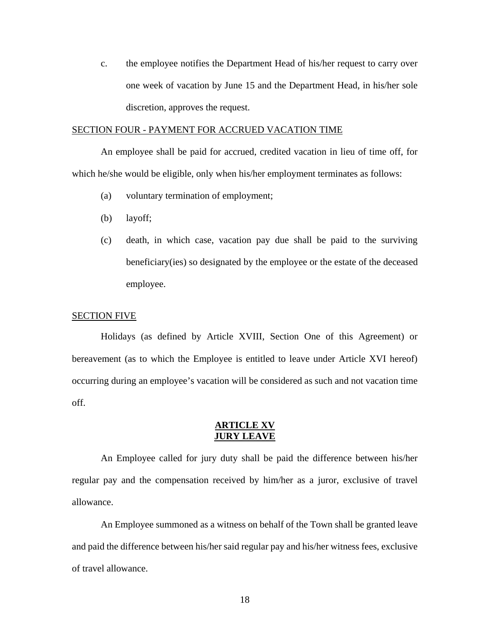c. the employee notifies the Department Head of his/her request to carry over one week of vacation by June 15 and the Department Head, in his/her sole discretion, approves the request.

#### SECTION FOUR - PAYMENT FOR ACCRUED VACATION TIME

 An employee shall be paid for accrued, credited vacation in lieu of time off, for which he/she would be eligible, only when his/her employment terminates as follows:

- (a) voluntary termination of employment;
- (b) layoff;
- (c) death, in which case, vacation pay due shall be paid to the surviving beneficiary(ies) so designated by the employee or the estate of the deceased employee.

#### SECTION FIVE

 Holidays (as defined by Article XVIII, Section One of this Agreement) or bereavement (as to which the Employee is entitled to leave under Article XVI hereof) occurring during an employee's vacation will be considered as such and not vacation time off.

## **ARTICLE XV JURY LEAVE**

 An Employee called for jury duty shall be paid the difference between his/her regular pay and the compensation received by him/her as a juror, exclusive of travel allowance.

 An Employee summoned as a witness on behalf of the Town shall be granted leave and paid the difference between his/her said regular pay and his/her witness fees, exclusive of travel allowance.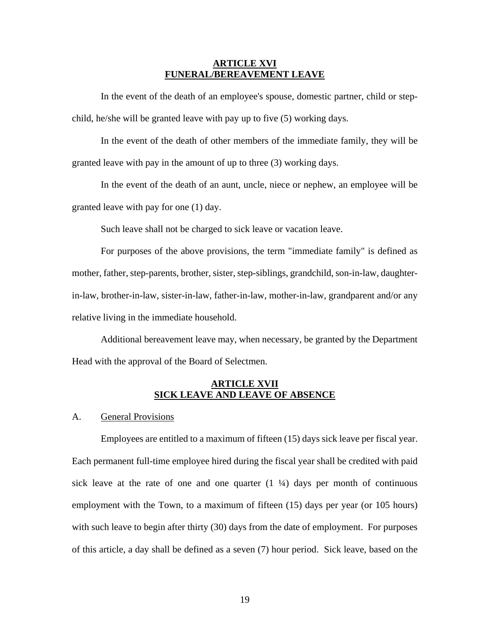## **ARTICLE XVI FUNERAL/BEREAVEMENT LEAVE**

 In the event of the death of an employee's spouse, domestic partner, child or stepchild, he/she will be granted leave with pay up to five (5) working days.

 In the event of the death of other members of the immediate family, they will be granted leave with pay in the amount of up to three (3) working days.

 In the event of the death of an aunt, uncle, niece or nephew, an employee will be granted leave with pay for one (1) day.

Such leave shall not be charged to sick leave or vacation leave.

 For purposes of the above provisions, the term "immediate family" is defined as mother, father, step-parents, brother, sister, step-siblings, grandchild, son-in-law, daughterin-law, brother-in-law, sister-in-law, father-in-law, mother-in-law, grandparent and/or any relative living in the immediate household.

 Additional bereavement leave may, when necessary, be granted by the Department Head with the approval of the Board of Selectmen.

# **ARTICLE XVII SICK LEAVE AND LEAVE OF ABSENCE**

### A. General Provisions

 Employees are entitled to a maximum of fifteen (15) days sick leave per fiscal year. Each permanent full-time employee hired during the fiscal year shall be credited with paid sick leave at the rate of one and one quarter  $(1 \frac{1}{4})$  days per month of continuous employment with the Town, to a maximum of fifteen (15) days per year (or 105 hours) with such leave to begin after thirty (30) days from the date of employment. For purposes of this article, a day shall be defined as a seven (7) hour period. Sick leave, based on the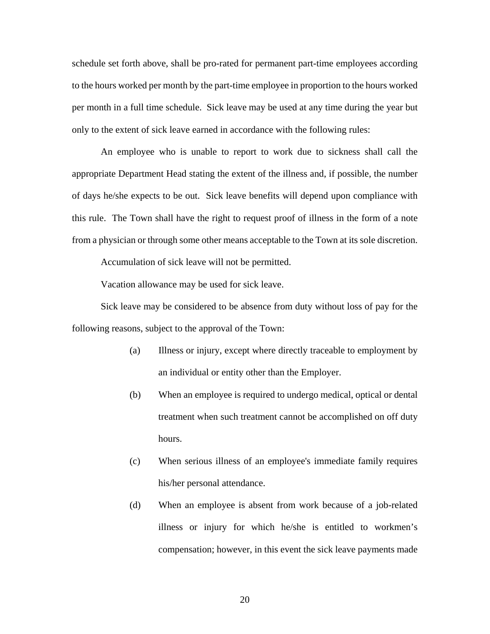schedule set forth above, shall be pro-rated for permanent part-time employees according to the hours worked per month by the part-time employee in proportion to the hours worked per month in a full time schedule. Sick leave may be used at any time during the year but only to the extent of sick leave earned in accordance with the following rules:

 An employee who is unable to report to work due to sickness shall call the appropriate Department Head stating the extent of the illness and, if possible, the number of days he/she expects to be out. Sick leave benefits will depend upon compliance with this rule. The Town shall have the right to request proof of illness in the form of a note from a physician or through some other means acceptable to the Town at its sole discretion.

Accumulation of sick leave will not be permitted.

Vacation allowance may be used for sick leave.

 Sick leave may be considered to be absence from duty without loss of pay for the following reasons, subject to the approval of the Town:

- (a) Illness or injury, except where directly traceable to employment by an individual or entity other than the Employer.
- (b) When an employee is required to undergo medical, optical or dental treatment when such treatment cannot be accomplished on off duty hours.
- (c) When serious illness of an employee's immediate family requires his/her personal attendance.
- (d) When an employee is absent from work because of a job-related illness or injury for which he/she is entitled to workmen's compensation; however, in this event the sick leave payments made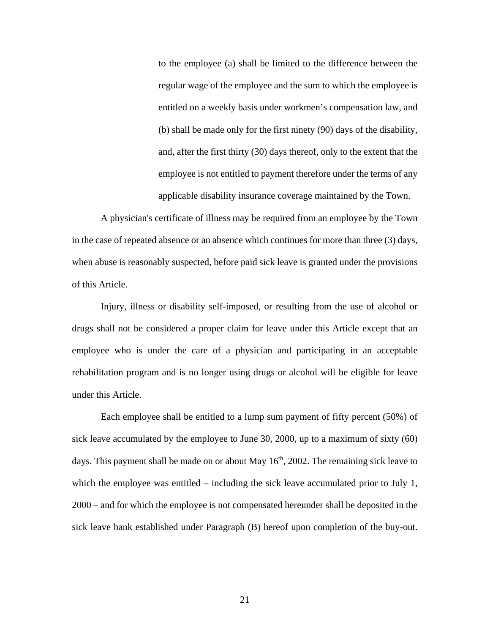to the employee (a) shall be limited to the difference between the regular wage of the employee and the sum to which the employee is entitled on a weekly basis under workmen's compensation law, and (b) shall be made only for the first ninety (90) days of the disability, and, after the first thirty (30) days thereof, only to the extent that the employee is not entitled to payment therefore under the terms of any applicable disability insurance coverage maintained by the Town.

 A physician's certificate of illness may be required from an employee by the Town in the case of repeated absence or an absence which continues for more than three (3) days, when abuse is reasonably suspected, before paid sick leave is granted under the provisions of this Article.

 Injury, illness or disability self-imposed, or resulting from the use of alcohol or drugs shall not be considered a proper claim for leave under this Article except that an employee who is under the care of a physician and participating in an acceptable rehabilitation program and is no longer using drugs or alcohol will be eligible for leave under this Article.

 Each employee shall be entitled to a lump sum payment of fifty percent (50%) of sick leave accumulated by the employee to June 30, 2000, up to a maximum of sixty (60) days. This payment shall be made on or about May  $16<sup>th</sup>$ , 2002. The remaining sick leave to which the employee was entitled – including the sick leave accumulated prior to July 1, 2000 – and for which the employee is not compensated hereunder shall be deposited in the sick leave bank established under Paragraph (B) hereof upon completion of the buy-out.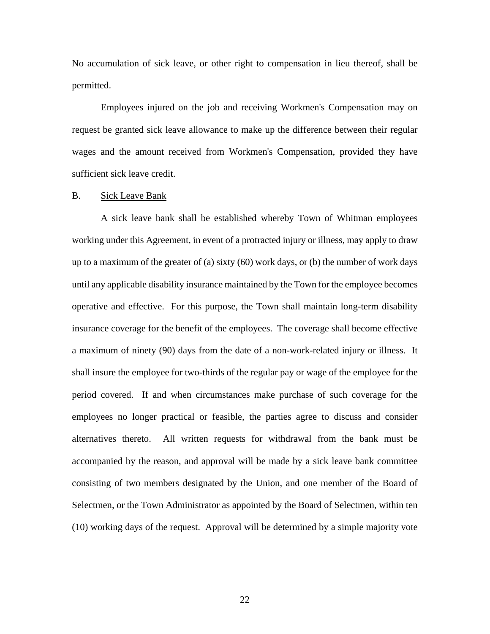No accumulation of sick leave, or other right to compensation in lieu thereof, shall be permitted.

 Employees injured on the job and receiving Workmen's Compensation may on request be granted sick leave allowance to make up the difference between their regular wages and the amount received from Workmen's Compensation, provided they have sufficient sick leave credit.

#### B. Sick Leave Bank

 A sick leave bank shall be established whereby Town of Whitman employees working under this Agreement, in event of a protracted injury or illness, may apply to draw up to a maximum of the greater of (a) sixty (60) work days, or (b) the number of work days until any applicable disability insurance maintained by the Town for the employee becomes operative and effective. For this purpose, the Town shall maintain long-term disability insurance coverage for the benefit of the employees. The coverage shall become effective a maximum of ninety (90) days from the date of a non-work-related injury or illness. It shall insure the employee for two-thirds of the regular pay or wage of the employee for the period covered. If and when circumstances make purchase of such coverage for the employees no longer practical or feasible, the parties agree to discuss and consider alternatives thereto. All written requests for withdrawal from the bank must be accompanied by the reason, and approval will be made by a sick leave bank committee consisting of two members designated by the Union, and one member of the Board of Selectmen, or the Town Administrator as appointed by the Board of Selectmen, within ten (10) working days of the request. Approval will be determined by a simple majority vote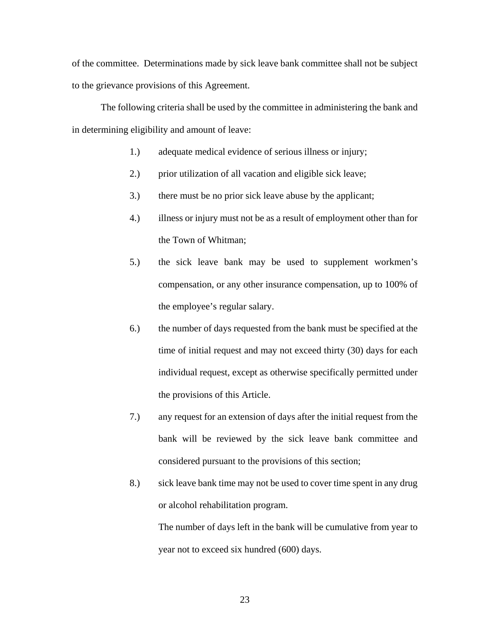of the committee. Determinations made by sick leave bank committee shall not be subject to the grievance provisions of this Agreement.

 The following criteria shall be used by the committee in administering the bank and in determining eligibility and amount of leave:

- 1.) adequate medical evidence of serious illness or injury;
- 2.) prior utilization of all vacation and eligible sick leave;
- 3.) there must be no prior sick leave abuse by the applicant;
- 4.) illness or injury must not be as a result of employment other than for the Town of Whitman;
- 5.) the sick leave bank may be used to supplement workmen's compensation, or any other insurance compensation, up to 100% of the employee's regular salary.
- 6.) the number of days requested from the bank must be specified at the time of initial request and may not exceed thirty (30) days for each individual request, except as otherwise specifically permitted under the provisions of this Article.
- 7.) any request for an extension of days after the initial request from the bank will be reviewed by the sick leave bank committee and considered pursuant to the provisions of this section;
- 8.) sick leave bank time may not be used to cover time spent in any drug or alcohol rehabilitation program.

 The number of days left in the bank will be cumulative from year to year not to exceed six hundred (600) days.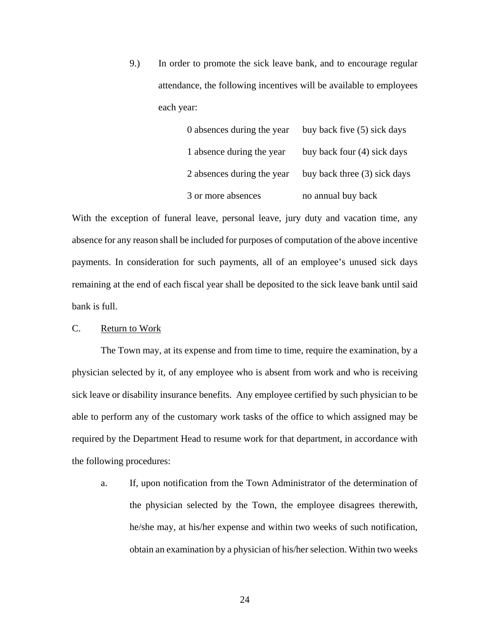9.) In order to promote the sick leave bank, and to encourage regular attendance, the following incentives will be available to employees each year:

| 0 absences during the year | buy back five (5) sick days  |
|----------------------------|------------------------------|
| 1 absence during the year  | buy back four (4) sick days  |
| 2 absences during the year | buy back three (3) sick days |
| 3 or more absences         | no annual buy back           |

With the exception of funeral leave, personal leave, jury duty and vacation time, any absence for any reason shall be included for purposes of computation of the above incentive payments. In consideration for such payments, all of an employee's unused sick days remaining at the end of each fiscal year shall be deposited to the sick leave bank until said bank is full.

## C. Return to Work

 The Town may, at its expense and from time to time, require the examination, by a physician selected by it, of any employee who is absent from work and who is receiving sick leave or disability insurance benefits. Any employee certified by such physician to be able to perform any of the customary work tasks of the office to which assigned may be required by the Department Head to resume work for that department, in accordance with the following procedures:

a. If, upon notification from the Town Administrator of the determination of the physician selected by the Town, the employee disagrees therewith, he/she may, at his/her expense and within two weeks of such notification, obtain an examination by a physician of his/her selection. Within two weeks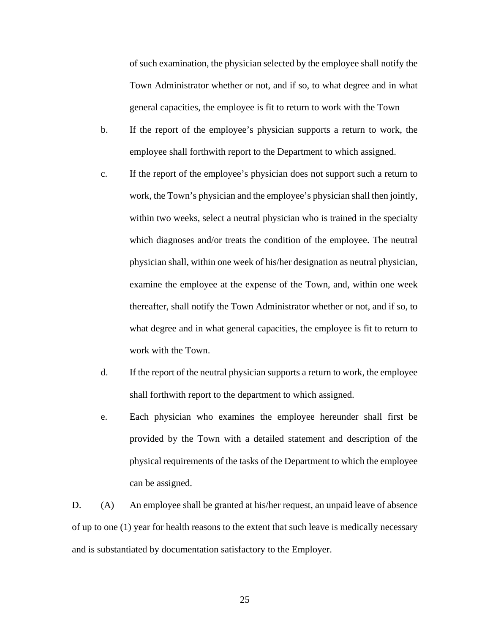of such examination, the physician selected by the employee shall notify the Town Administrator whether or not, and if so, to what degree and in what general capacities, the employee is fit to return to work with the Town

- b. If the report of the employee's physician supports a return to work, the employee shall forthwith report to the Department to which assigned.
- c. If the report of the employee's physician does not support such a return to work, the Town's physician and the employee's physician shall then jointly, within two weeks, select a neutral physician who is trained in the specialty which diagnoses and/or treats the condition of the employee. The neutral physician shall, within one week of his/her designation as neutral physician, examine the employee at the expense of the Town, and, within one week thereafter, shall notify the Town Administrator whether or not, and if so, to what degree and in what general capacities, the employee is fit to return to work with the Town.
- d. If the report of the neutral physician supports a return to work, the employee shall forthwith report to the department to which assigned.
- e. Each physician who examines the employee hereunder shall first be provided by the Town with a detailed statement and description of the physical requirements of the tasks of the Department to which the employee can be assigned.

D. (A) An employee shall be granted at his/her request, an unpaid leave of absence of up to one (1) year for health reasons to the extent that such leave is medically necessary and is substantiated by documentation satisfactory to the Employer.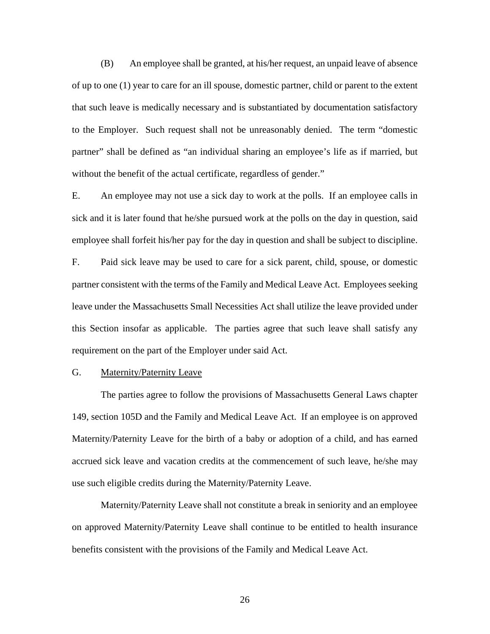(B) An employee shall be granted, at his/her request, an unpaid leave of absence of up to one (1) year to care for an ill spouse, domestic partner, child or parent to the extent that such leave is medically necessary and is substantiated by documentation satisfactory to the Employer. Such request shall not be unreasonably denied. The term "domestic partner" shall be defined as "an individual sharing an employee's life as if married, but without the benefit of the actual certificate, regardless of gender."

E. An employee may not use a sick day to work at the polls. If an employee calls in sick and it is later found that he/she pursued work at the polls on the day in question, said employee shall forfeit his/her pay for the day in question and shall be subject to discipline.

F. Paid sick leave may be used to care for a sick parent, child, spouse, or domestic partner consistent with the terms of the Family and Medical Leave Act. Employees seeking leave under the Massachusetts Small Necessities Act shall utilize the leave provided under this Section insofar as applicable. The parties agree that such leave shall satisfy any requirement on the part of the Employer under said Act.

#### G. Maternity/Paternity Leave

 The parties agree to follow the provisions of Massachusetts General Laws chapter 149, section 105D and the Family and Medical Leave Act. If an employee is on approved Maternity/Paternity Leave for the birth of a baby or adoption of a child, and has earned accrued sick leave and vacation credits at the commencement of such leave, he/she may use such eligible credits during the Maternity/Paternity Leave.

 Maternity/Paternity Leave shall not constitute a break in seniority and an employee on approved Maternity/Paternity Leave shall continue to be entitled to health insurance benefits consistent with the provisions of the Family and Medical Leave Act.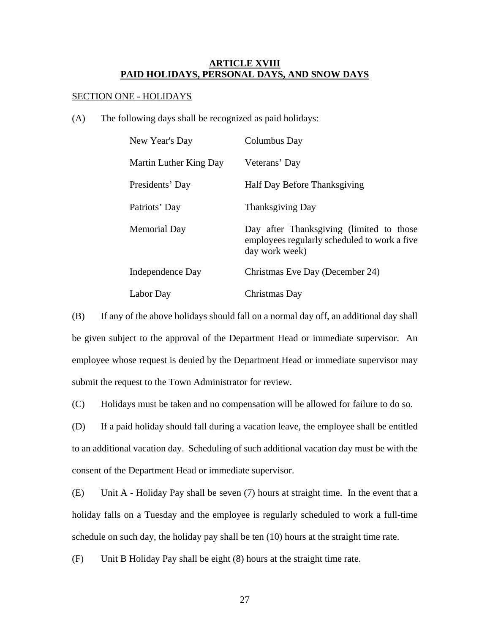# **ARTICLE XVIII PAID HOLIDAYS, PERSONAL DAYS, AND SNOW DAYS**

## SECTION ONE - HOLIDAYS

(A) The following days shall be recognized as paid holidays:

| New Year's Day         | Columbus Day                                                                                               |
|------------------------|------------------------------------------------------------------------------------------------------------|
| Martin Luther King Day | Veterans' Day                                                                                              |
| Presidents' Day        | Half Day Before Thanksgiving                                                                               |
| Patriots' Day          | <b>Thanksgiving Day</b>                                                                                    |
| Memorial Day           | Day after Thanksgiving (limited to those<br>employees regularly scheduled to work a five<br>day work week) |
| Independence Day       | Christmas Eve Day (December 24)                                                                            |
| Labor Day              | Christmas Day                                                                                              |

(B) If any of the above holidays should fall on a normal day off, an additional day shall be given subject to the approval of the Department Head or immediate supervisor. An employee whose request is denied by the Department Head or immediate supervisor may submit the request to the Town Administrator for review.

(C) Holidays must be taken and no compensation will be allowed for failure to do so.

(D) If a paid holiday should fall during a vacation leave, the employee shall be entitled to an additional vacation day. Scheduling of such additional vacation day must be with the consent of the Department Head or immediate supervisor.

(E) Unit A - Holiday Pay shall be seven (7) hours at straight time. In the event that a holiday falls on a Tuesday and the employee is regularly scheduled to work a full-time schedule on such day, the holiday pay shall be ten (10) hours at the straight time rate.

(F) Unit B Holiday Pay shall be eight (8) hours at the straight time rate.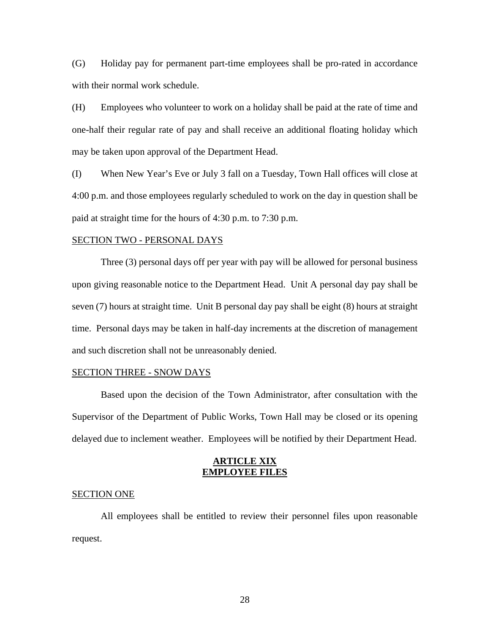(G) Holiday pay for permanent part-time employees shall be pro-rated in accordance with their normal work schedule.

(H) Employees who volunteer to work on a holiday shall be paid at the rate of time and one-half their regular rate of pay and shall receive an additional floating holiday which may be taken upon approval of the Department Head.

(I) When New Year's Eve or July 3 fall on a Tuesday, Town Hall offices will close at 4:00 p.m. and those employees regularly scheduled to work on the day in question shall be paid at straight time for the hours of 4:30 p.m. to 7:30 p.m.

#### SECTION TWO - PERSONAL DAYS

 Three (3) personal days off per year with pay will be allowed for personal business upon giving reasonable notice to the Department Head. Unit A personal day pay shall be seven (7) hours at straight time. Unit B personal day pay shall be eight (8) hours at straight time. Personal days may be taken in half-day increments at the discretion of management and such discretion shall not be unreasonably denied.

#### SECTION THREE - SNOW DAYS

 Based upon the decision of the Town Administrator, after consultation with the Supervisor of the Department of Public Works, Town Hall may be closed or its opening delayed due to inclement weather. Employees will be notified by their Department Head.

### **ARTICLE XIX EMPLOYEE FILES**

#### SECTION ONE

 All employees shall be entitled to review their personnel files upon reasonable request.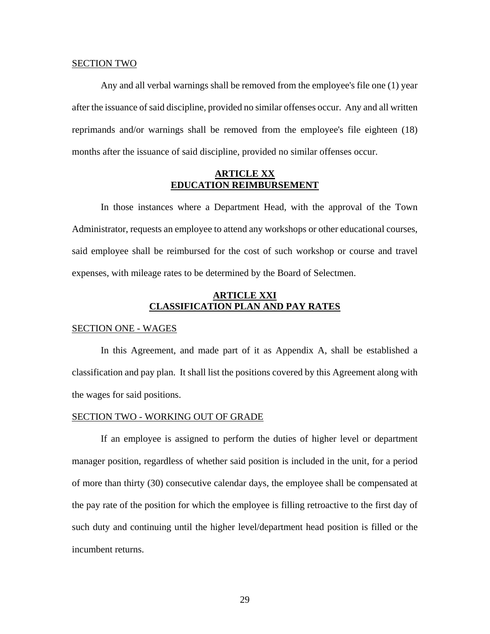#### SECTION TWO

 Any and all verbal warnings shall be removed from the employee's file one (1) year after the issuance of said discipline, provided no similar offenses occur. Any and all written reprimands and/or warnings shall be removed from the employee's file eighteen (18) months after the issuance of said discipline, provided no similar offenses occur.

## **ARTICLE XX EDUCATION REIMBURSEMENT**

 In those instances where a Department Head, with the approval of the Town Administrator, requests an employee to attend any workshops or other educational courses, said employee shall be reimbursed for the cost of such workshop or course and travel expenses, with mileage rates to be determined by the Board of Selectmen.

# **ARTICLE XXI CLASSIFICATION PLAN AND PAY RATES**

#### SECTION ONE - WAGES

 In this Agreement, and made part of it as Appendix A, shall be established a classification and pay plan. It shall list the positions covered by this Agreement along with the wages for said positions.

#### SECTION TWO - WORKING OUT OF GRADE

 If an employee is assigned to perform the duties of higher level or department manager position, regardless of whether said position is included in the unit, for a period of more than thirty (30) consecutive calendar days, the employee shall be compensated at the pay rate of the position for which the employee is filling retroactive to the first day of such duty and continuing until the higher level/department head position is filled or the incumbent returns.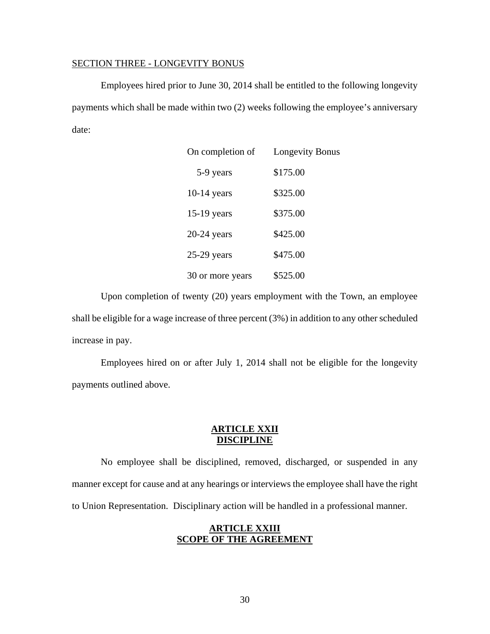#### SECTION THREE - LONGEVITY BONUS

 Employees hired prior to June 30, 2014 shall be entitled to the following longevity payments which shall be made within two (2) weeks following the employee's anniversary date:

| On completion of | <b>Longevity Bonus</b> |  |  |  |
|------------------|------------------------|--|--|--|
| 5-9 years        | \$175.00               |  |  |  |
| $10-14$ years    | \$325.00               |  |  |  |
| $15-19$ years    | \$375.00               |  |  |  |
| $20-24$ years    | \$425.00               |  |  |  |
| $25-29$ years    | \$475.00               |  |  |  |
| 30 or more years | \$525.00               |  |  |  |

 Upon completion of twenty (20) years employment with the Town, an employee shall be eligible for a wage increase of three percent (3%) in addition to any other scheduled increase in pay.

Employees hired on or after July 1, 2014 shall not be eligible for the longevity payments outlined above.

# **ARTICLE XXII DISCIPLINE**

 No employee shall be disciplined, removed, discharged, or suspended in any manner except for cause and at any hearings or interviews the employee shall have the right to Union Representation. Disciplinary action will be handled in a professional manner.

# **ARTICLE XXIII SCOPE OF THE AGREEMENT**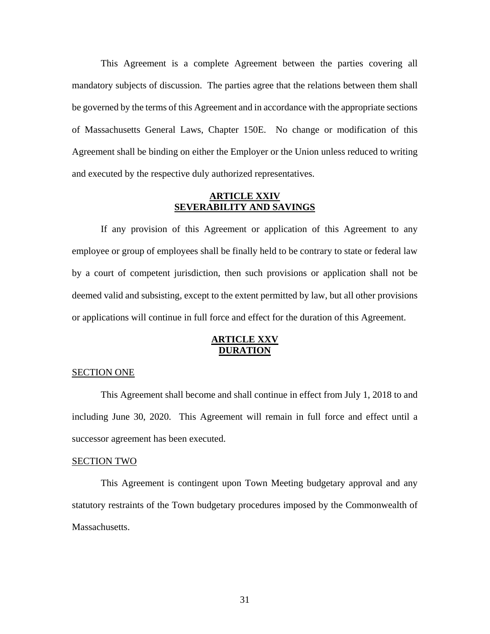This Agreement is a complete Agreement between the parties covering all mandatory subjects of discussion. The parties agree that the relations between them shall be governed by the terms of this Agreement and in accordance with the appropriate sections of Massachusetts General Laws, Chapter 150E. No change or modification of this Agreement shall be binding on either the Employer or the Union unless reduced to writing and executed by the respective duly authorized representatives.

## **ARTICLE XXIV SEVERABILITY AND SAVINGS**

 If any provision of this Agreement or application of this Agreement to any employee or group of employees shall be finally held to be contrary to state or federal law by a court of competent jurisdiction, then such provisions or application shall not be deemed valid and subsisting, except to the extent permitted by law, but all other provisions or applications will continue in full force and effect for the duration of this Agreement.

# **ARTICLE XXV DURATION**

#### SECTION ONE

 This Agreement shall become and shall continue in effect from July 1, 2018 to and including June 30, 2020. This Agreement will remain in full force and effect until a successor agreement has been executed.

#### SECTION TWO

 This Agreement is contingent upon Town Meeting budgetary approval and any statutory restraints of the Town budgetary procedures imposed by the Commonwealth of Massachusetts.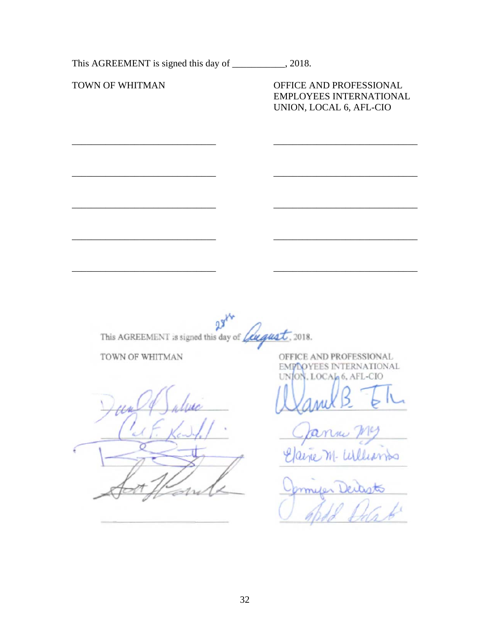This AGREEMENT is signed this day of \_\_\_\_\_\_\_\_\_\_, 2018. TOWN OF WHITMAN OFFICE AND PROFESSIONAL EMPLOYEES INTERNATIONAL UNION, LOCAL 6, AFL-CIO  $09$ This AGREEMENT is signed this day of *fugust*, 2018. TOWN OF WHITMAN OFFICE AND PROFESSIONAL EMPLOYEES INTERNATIONAL ON, LOCAL 6, AFL-CIO M-Williams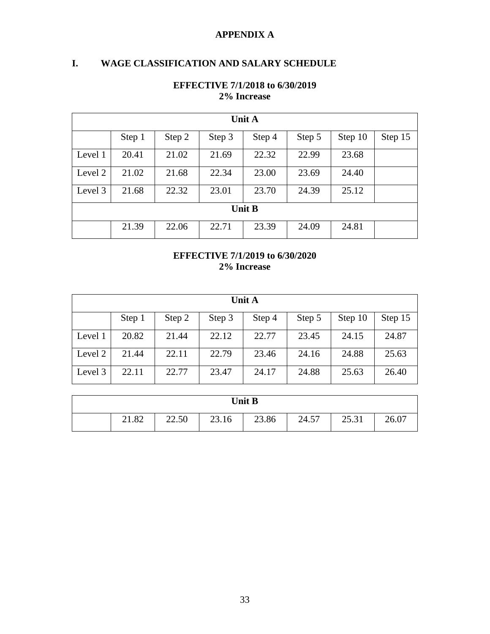# **APPENDIX A**

# **I. WAGE CLASSIFICATION AND SALARY SCHEDULE**

| Unit A        |        |        |        |        |        |         |         |  |
|---------------|--------|--------|--------|--------|--------|---------|---------|--|
|               | Step 1 | Step 2 | Step 3 | Step 4 | Step 5 | Step 10 | Step 15 |  |
| Level 1       | 20.41  | 21.02  | 21.69  | 22.32  | 22.99  | 23.68   |         |  |
| Level 2       | 21.02  | 21.68  | 22.34  | 23.00  | 23.69  | 24.40   |         |  |
| Level 3       | 21.68  | 22.32  | 23.01  | 23.70  | 24.39  | 25.12   |         |  |
| <b>Unit B</b> |        |        |        |        |        |         |         |  |
|               | 21.39  | 22.06  | 22.71  | 23.39  | 24.09  | 24.81   |         |  |

# **EFFECTIVE 7/1/2018 to 6/30/2019 2% Increase**

# **EFFECTIVE 7/1/2019 to 6/30/2020 2% Increase**

| <b>Unit A</b> |        |        |        |        |        |         |         |
|---------------|--------|--------|--------|--------|--------|---------|---------|
|               | Step 1 | Step 2 | Step 3 | Step 4 | Step 5 | Step 10 | Step 15 |
| Level 1       | 20.82  | 21.44  | 22.12  | 22.77  | 23.45  | 24.15   | 24.87   |
| Level 2       | 21.44  | 22.11  | 22.79  | 23.46  | 24.16  | 24.88   | 25.63   |
| Level 3       | 22.11  | 22.77  | 23.47  | 24.17  | 24.88  | 25.63   | 26.40   |

| <b>Unit B</b> |       |       |       |       |       |       |  |
|---------------|-------|-------|-------|-------|-------|-------|--|
|               | 21.82 | 22.50 | 23.16 | 23.86 | 24.57 | 25.31 |  |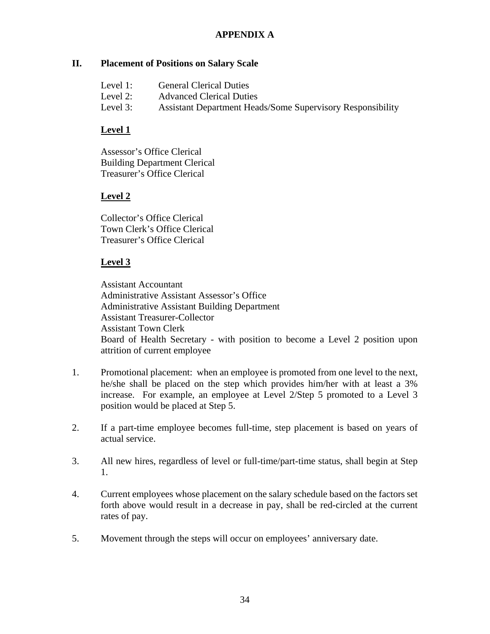# **APPENDIX A**

# **II. Placement of Positions on Salary Scale**

- Level 1: General Clerical Duties
- Level 2: Advanced Clerical Duties
- Level 3: Assistant Department Heads/Some Supervisory Responsibility

# **Level 1**

Assessor's Office Clerical Building Department Clerical Treasurer's Office Clerical

# **Level 2**

Collector's Office Clerical Town Clerk's Office Clerical Treasurer's Office Clerical

# **Level 3**

Assistant Accountant Administrative Assistant Assessor's Office Administrative Assistant Building Department Assistant Treasurer-Collector Assistant Town Clerk Board of Health Secretary - with position to become a Level 2 position upon attrition of current employee

- 1. Promotional placement: when an employee is promoted from one level to the next, he/she shall be placed on the step which provides him/her with at least a 3% increase. For example, an employee at Level 2/Step 5 promoted to a Level 3 position would be placed at Step 5.
- 2. If a part-time employee becomes full-time, step placement is based on years of actual service.
- 3. All new hires, regardless of level or full-time/part-time status, shall begin at Step 1.
- 4. Current employees whose placement on the salary schedule based on the factors set forth above would result in a decrease in pay, shall be red-circled at the current rates of pay.
- 5. Movement through the steps will occur on employees' anniversary date.